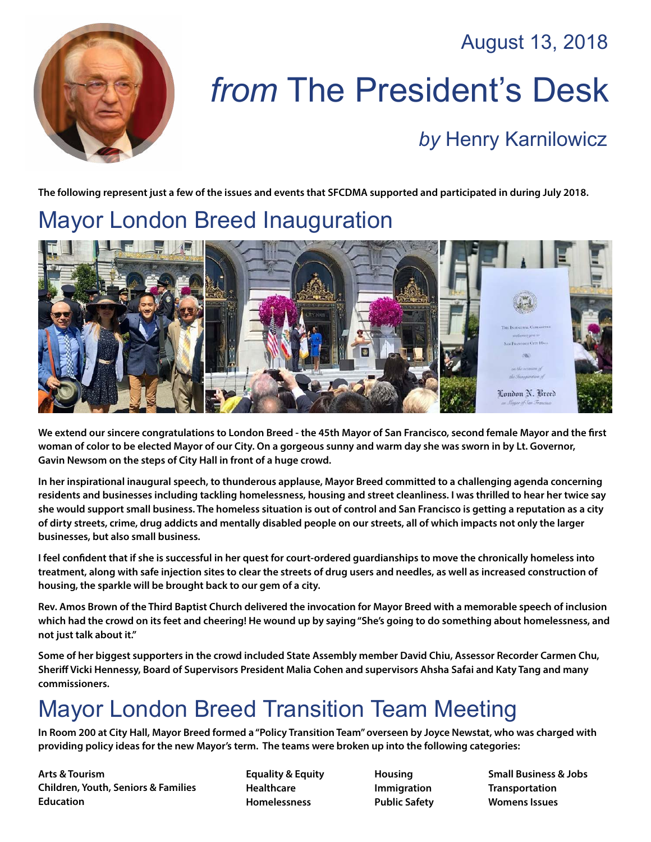August 13, 2018



# *from* The President's Desk

#### *by* [Henry Karnilowicz](mailto:henry@sfcdma.org)

**The following represent just a few of the issues and events that SFCDMA supported and participated in during July 2018.**

### Mayor London Breed Inauguration



**We extend our sincere congratulations to London Breed - the 45th Mayor of San Francisco, second female Mayor and the first woman of color to be elected Mayor of our City. On a gorgeous sunny and warm day she was sworn in by Lt. Governor, Gavin Newsom on the steps of City Hall in front of a huge crowd.**

**In her inspirational inaugural speech, to thunderous applause, Mayor Breed committed to a challenging agenda concerning residents and businesses including tackling homelessness, housing and street cleanliness. I was thrilled to hear her twice say she would support small business. The homeless situation is out of control and San Francisco is getting a reputation as a city of dirty streets, crime, drug addicts and mentally disabled people on our streets, all of which impacts not only the larger businesses, but also small business.**

**I feel confident that if she is successful in her quest for court-ordered guardianships to move the chronically homeless into treatment, along with safe injection sites to clear the streets of drug users and needles, as well as increased construction of housing, the sparkle will be brought back to our gem of a city.**

**Rev. Amos Brown of the Third Baptist Church delivered the invocation for Mayor Breed with a memorable speech of inclusion which had the crowd on its feet and cheering! He wound up by saying "She's going to do something about homelessness, and not just talk about it."** 

**Some of her biggest supporters in the crowd included State Assembly member David Chiu, Assessor Recorder Carmen Chu, Sheriff Vicki Hennessy, Board of Supervisors President Malia Cohen and supervisors Ahsha Safai and Katy Tang and many commissioners.**

## Mayor London Breed Transition Team Meeting

**In Room 200 at City Hall, Mayor Breed formed a "Policy Transition Team" overseen by Joyce Newstat, who was charged with providing policy ideas for the new Mayor's term. The teams were broken up into the following categories:**

**Arts & Tourism Children, Youth, Seniors & Families Education**

**Equality & Equity Healthcare Homelessness**

**Housing Immigration Public Safety** **Small Business & Jobs Transportation Womens Issues**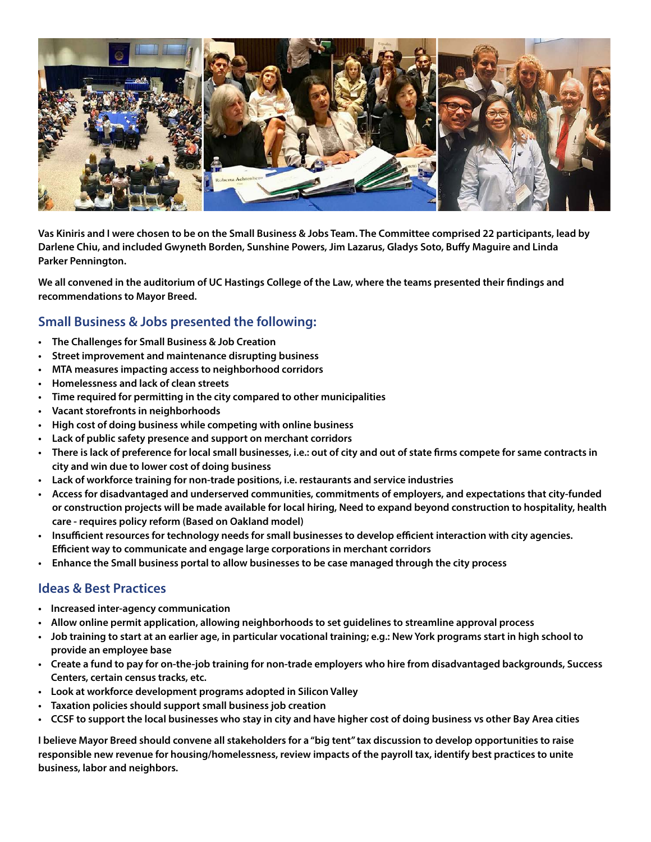

**Vas Kiniris and I were chosen to be on the Small Business & Jobs Team. The Committee comprised 22 participants, lead by Darlene Chiu, and included Gwyneth Borden, Sunshine Powers, Jim Lazarus, Gladys Soto, Buffy Maguire and Linda Parker Pennington.**

**We all convened in the auditorium of UC Hastings College of the Law, where the teams presented their findings and recommendations to Mayor Breed.**

#### **Small Business & Jobs presented the following:**

- **• The Challenges for Small Business & Job Creation**
- **• Street improvement and maintenance disrupting business**
- **• MTA measures impacting access to neighborhood corridors**
- **• Homelessness and lack of clean streets**
- **• Time required for permitting in the city compared to other municipalities**
- **• Vacant storefronts in neighborhoods**
- **• High cost of doing business while competing with online business**
- **• Lack of public safety presence and support on merchant corridors**
- **• There is lack of preference for local small businesses, i.e.: out of city and out of state firms compete for same contracts in city and win due to lower cost of doing business**
- **• Lack of workforce training for non-trade positions, i.e. restaurants and service industries**
- **• Access for disadvantaged and underserved communities, commitments of employers, and expectations that city-funded or construction projects will be made available for local hiring, Need to expand beyond construction to hospitality, health care - requires policy reform (Based on Oakland model)**
- **• Insufficient resources for technology needs for small businesses to develop efficient interaction with city agencies. Efficient way to communicate and engage large corporations in merchant corridors**
- **• Enhance the Small business portal to allow businesses to be case managed through the city process**

#### **Ideas & Best Practices**

- **• Increased inter-agency communication**
- **• Allow online permit application, allowing neighborhoods to set guidelines to streamline approval process**
- **• Job training to start at an earlier age, in particular vocational training; e.g.: New York programs start in high school to provide an employee base**
- **• Create a fund to pay for on-the-job training for non-trade employers who hire from disadvantaged backgrounds, Success Centers, certain census tracks, etc.**
- **• Look at workforce development programs adopted in Silicon Valley**
- **• Taxation policies should support small business job creation**
- **• CCSF to support the local businesses who stay in city and have higher cost of doing business vs other Bay Area cities**

**I believe Mayor Breed should convene all stakeholders for a "big tent" tax discussion to develop opportunities to raise responsible new revenue for housing/homelessness, review impacts of the payroll tax, identify best practices to unite business, labor and neighbors.**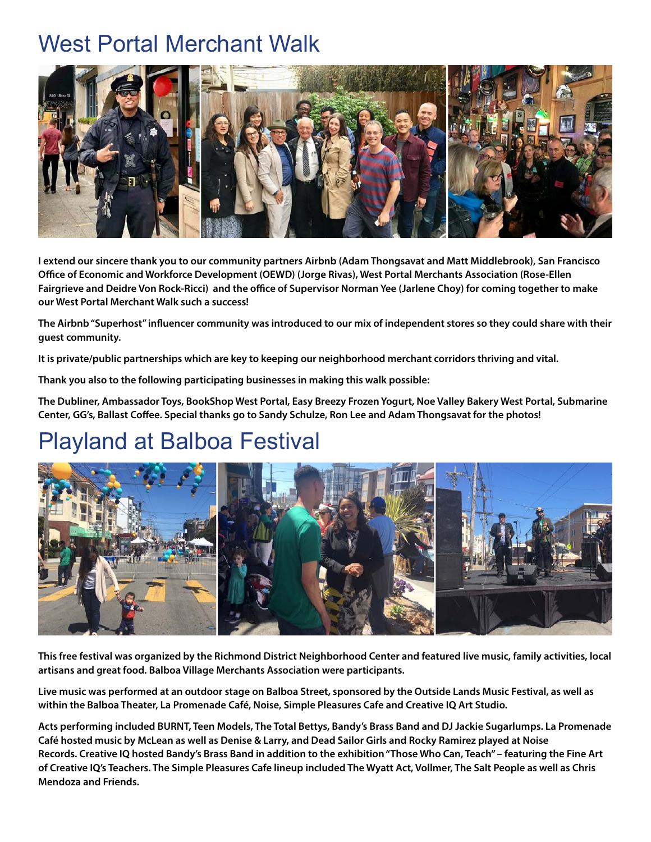#### West Portal Merchant Walk



**I extend our sincere thank you to our community partners Airbnb (Adam Thongsavat and Matt Middlebrook), San Francisco Office of Economic and Workforce Development (OEWD) (Jorge Rivas), West Portal Merchants Association (Rose-Ellen Fairgrieve and Deidre Von Rock-Ricci) and the office of Supervisor Norman Yee (Jarlene Choy) for coming together to make our West Portal Merchant Walk such a success!**

**The Airbnb "Superhost" influencer community was introduced to our mix of independent stores so they could share with their guest community.**

**It is private/public partnerships which are key to keeping our neighborhood merchant corridors thriving and vital.**

**Thank you also to the following participating businesses in making this walk possible:**

**The Dubliner, Ambassador Toys, BookShop West Portal, Easy Breezy Frozen Yogurt, Noe Valley Bakery West Portal, Submarine Center, GG's, Ballast Coffee. Special thanks go to Sandy Schulze, Ron Lee and Adam Thongsavat for the photos!** 

### Playland at Balboa Festival



**This free festival was organized by the Richmond District Neighborhood Center and featured live music, family activities, local artisans and great food. Balboa Village Merchants Association were participants.**

**Live music was performed at an outdoor stage on Balboa Street, sponsored by the Outside Lands Music Festival, as well as within the Balboa Theater, La Promenade Café, Noise, Simple Pleasures Cafe and Creative IQ Art Studio.**

**Acts performing included BURNT, Teen Models, The Total Bettys, Bandy's Brass Band and DJ Jackie Sugarlumps. La Promenade Café hosted music by McLean as well as Denise & Larry, and Dead Sailor Girls and Rocky Ramirez played at Noise Records. Creative IQ hosted Bandy's Brass Band in addition to the exhibition "Those Who Can, Teach" – featuring the Fine Art of Creative IQ's Teachers. The Simple Pleasures Cafe lineup included The Wyatt Act, Vollmer, The Salt People as well as Chris Mendoza and Friends.**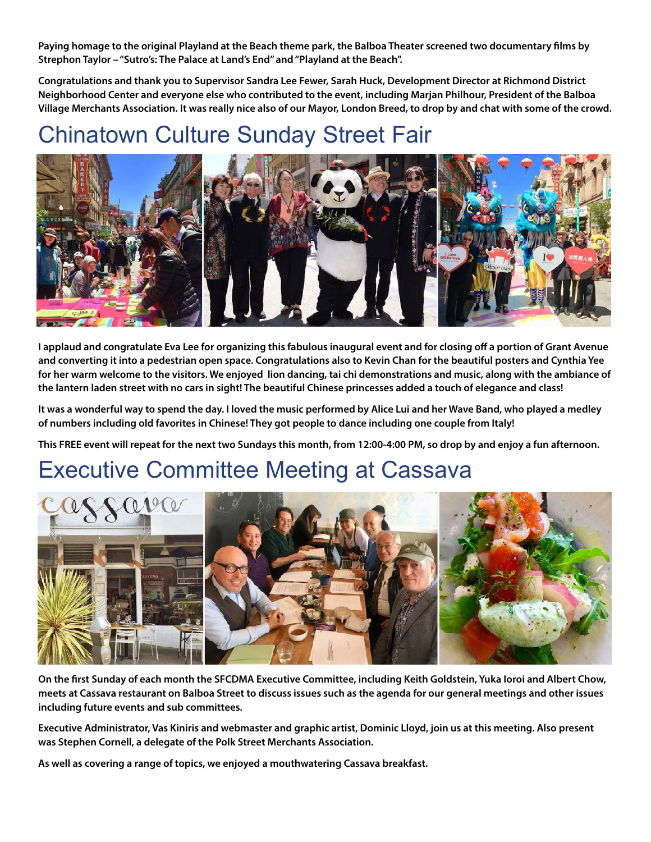**Paying homage to the original Playland at the Beach theme park, the Balboa Theater screened two documentary films by Strephon Taylor – "Sutro's: The Palace at Land's End" and "Playland at the Beach".** 

**Congratulations and thank you to Supervisor Sandra Lee Fewer, Sarah Huck, Development Director at Richmond District Neighborhood Center and everyone else who contributed to the event, including Marjan Philhour, President of the Balboa Village Merchants Association. It was really nice also of our Mayor, London Breed, to drop by and chat with some of the crowd.** 

# Chinatown Culture Sunday Street Fair



**I applaud and congratulate Eva Lee for organizing this fabulous inaugural event and for closing off a portion of Grant Avenue and converting it into a pedestrian open space. Congratulations also to Kevin Chan for the beautiful posters and Cynthia Yee for her warm welcome to the visitors. We enjoyed lion dancing, tai chi demonstrations and music, along with the ambiance of the lantern laden street with no cars in sight! The beautiful Chinese princesses added a touch of elegance and class!**

**It was a wonderful way to spend the day. I loved the music performed by Alice Lui and her Wave Band, who played a medley of numbers including old favorites in Chinese! They got people to dance including one couple from Italy!**

**This FREE event will repeat for the next two Sundays this month, from 12:00-4:00 PM, so drop by and enjoy a fun afternoon.** 

### Executive Committee Meeting at Cassava



**On the first Sunday of each month the SFCDMA Executive Committee, including Keith Goldstein, Yuka Ioroi and Albert Chow, meets at Cassava restaurant on Balboa Street to discuss issues such as the agenda for our general meetings and other issues including future events and sub committees.**

**Executive Administrator, Vas Kiniris and webmaster and graphic artist, Dominic Lloyd, join us at this meeting. Also present was Stephen Cornell, a delegate of the Polk Street Merchants Association.**

**As well as covering a range of topics, we enjoyed a mouthwatering Cassava breakfast.**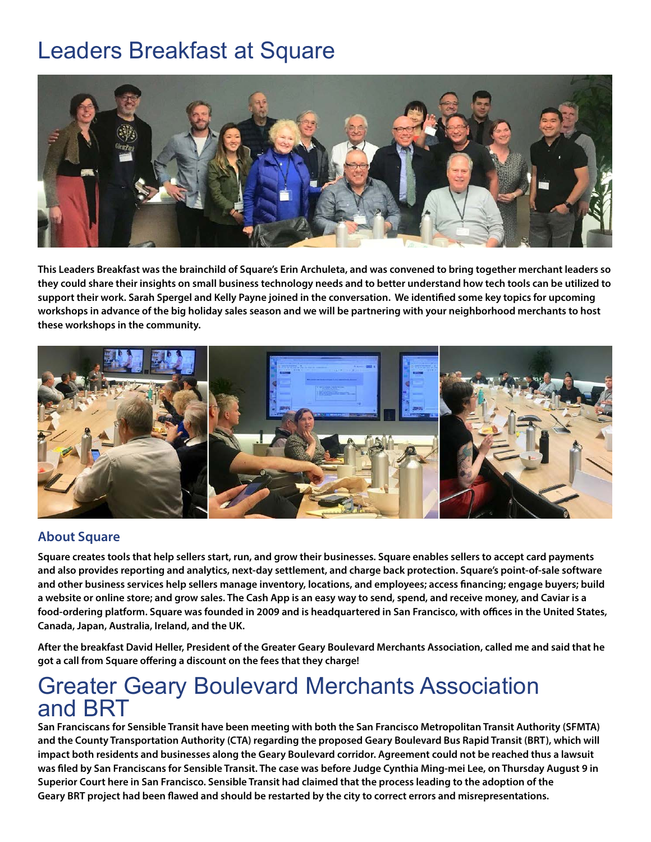### Leaders Breakfast at Square



**This Leaders Breakfast was the brainchild of Square's Erin Archuleta, and was convened to bring together merchant leaders so they could share their insights on small business technology needs and to better understand how tech tools can be utilized to support their work. Sarah Spergel and Kelly Payne joined in the conversation. We identified some key topics for upcoming workshops in advance of the big holiday sales season and we will be partnering with your neighborhood merchants to host these workshops in the community.** 



#### **About Square**

**Square creates tools that help sellers start, run, and grow their businesses. Square enables sellers to accept card payments and also provides reporting and analytics, next-day settlement, and charge back protection. Square's point-of-sale software and other business services help sellers manage inventory, locations, and employees; access financing; engage buyers; build a website or online store; and grow sales. The Cash App is an easy way to send, spend, and receive money, and Caviar is a food-ordering platform. Square was founded in 2009 and is headquartered in San Francisco, with offices in the United States, Canada, Japan, Australia, Ireland, and the UK.**

**After the breakfast David Heller, President of the Greater Geary Boulevard Merchants Association, called me and said that he got a call from Square offering a discount on the fees that they charge!**

#### Greater Geary Boulevard Merchants Association and BRT

**San Franciscans for Sensible Transit have been meeting with both the San Francisco Metropolitan Transit Authority (SFMTA) and the County Transportation Authority (CTA) regarding the proposed Geary Boulevard Bus Rapid Transit (BRT), which will impact both residents and businesses along the Geary Boulevard corridor. Agreement could not be reached thus a lawsuit was filed by San Franciscans for Sensible Transit. The case was before Judge Cynthia Ming-mei Lee, on Thursday August 9 in Superior Court here in San Francisco. Sensible Transit had claimed that the process leading to the adoption of the Geary BRT project had been flawed and should be restarted by the city to correct errors and misrepresentations.**